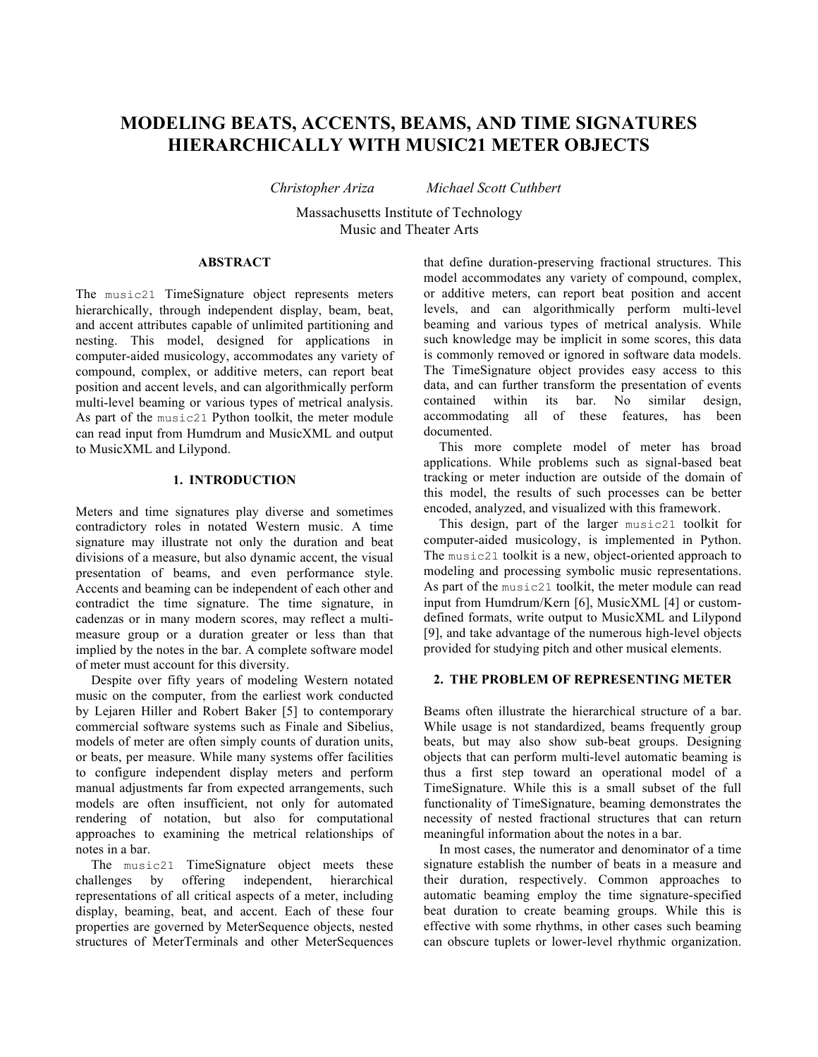# **MODELING BEATS, ACCENTS, BEAMS, AND TIME SIGNATURES HIERARCHICALLY WITH MUSIC21 METER OBJECTS**

*Christopher Ariza Michael Scott Cuthbert*

Massachusetts Institute of Technology Music and Theater Arts

## **ABSTRACT**

The music21 TimeSignature object represents meters hierarchically, through independent display, beam, beat, and accent attributes capable of unlimited partitioning and nesting. This model, designed for applications in computer-aided musicology, accommodates any variety of compound, complex, or additive meters, can report beat position and accent levels, and can algorithmically perform multi-level beaming or various types of metrical analysis. As part of the music21 Python toolkit, the meter module can read input from Humdrum and MusicXML and output to MusicXML and Lilypond.

## **1. INTRODUCTION**

Meters and time signatures play diverse and sometimes contradictory roles in notated Western music. A time signature may illustrate not only the duration and beat divisions of a measure, but also dynamic accent, the visual presentation of beams, and even performance style. Accents and beaming can be independent of each other and contradict the time signature. The time signature, in cadenzas or in many modern scores, may reflect a multimeasure group or a duration greater or less than that implied by the notes in the bar. A complete software model of meter must account for this diversity.

Despite over fifty years of modeling Western notated music on the computer, from the earliest work conducted by Lejaren Hiller and Robert Baker [5] to contemporary commercial software systems such as Finale and Sibelius, models of meter are often simply counts of duration units, or beats, per measure. While many systems offer facilities to configure independent display meters and perform manual adjustments far from expected arrangements, such models are often insufficient, not only for automated rendering of notation, but also for computational approaches to examining the metrical relationships of notes in a bar.

The music21 TimeSignature object meets these challenges by offering independent, hierarchical representations of all critical aspects of a meter, including display, beaming, beat, and accent. Each of these four properties are governed by MeterSequence objects, nested structures of MeterTerminals and other MeterSequences

that define duration-preserving fractional structures. This model accommodates any variety of compound, complex, or additive meters, can report beat position and accent levels, and can algorithmically perform multi-level beaming and various types of metrical analysis. While such knowledge may be implicit in some scores, this data is commonly removed or ignored in software data models. The TimeSignature object provides easy access to this data, and can further transform the presentation of events contained within its bar. No similar design, accommodating all of these features, has been documented.

This more complete model of meter has broad applications. While problems such as signal-based beat tracking or meter induction are outside of the domain of this model, the results of such processes can be better encoded, analyzed, and visualized with this framework.

This design, part of the larger music21 toolkit for computer-aided musicology, is implemented in Python. The music21 toolkit is a new, object-oriented approach to modeling and processing symbolic music representations. As part of the music21 toolkit, the meter module can read input from Humdrum/Kern [6], MusicXML [4] or customdefined formats, write output to MusicXML and Lilypond [9], and take advantage of the numerous high-level objects provided for studying pitch and other musical elements.

## **2. THE PROBLEM OF REPRESENTING METER**

Beams often illustrate the hierarchical structure of a bar. While usage is not standardized, beams frequently group beats, but may also show sub-beat groups. Designing objects that can perform multi-level automatic beaming is thus a first step toward an operational model of a TimeSignature. While this is a small subset of the full functionality of TimeSignature, beaming demonstrates the necessity of nested fractional structures that can return meaningful information about the notes in a bar.

In most cases, the numerator and denominator of a time signature establish the number of beats in a measure and their duration, respectively. Common approaches to automatic beaming employ the time signature-specified beat duration to create beaming groups. While this is effective with some rhythms, in other cases such beaming can obscure tuplets or lower-level rhythmic organization.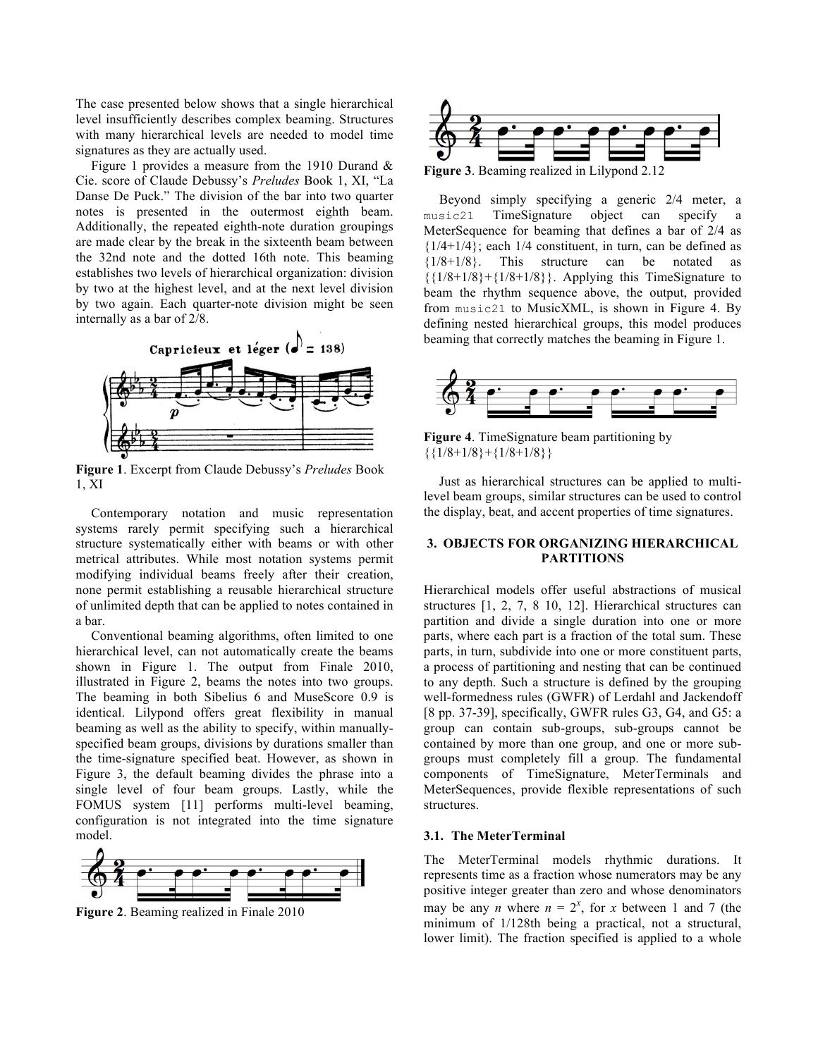The case presented below shows that a single hierarchical level insufficiently describes complex beaming. Structures with many hierarchical levels are needed to model time signatures as they are actually used.

Figure 1 provides a measure from the 1910 Durand & Cie. score of Claude Debussy's *Preludes* Book 1, XI, "La Danse De Puck." The division of the bar into two quarter notes is presented in the outermost eighth beam. Additionally, the repeated eighth-note duration groupings are made clear by the break in the sixteenth beam between the 32nd note and the dotted 16th note. This beaming establishes two levels of hierarchical organization: division by two at the highest level, and at the next level division by two again. Each quarter-note division might be seen internally as a bar of 2/8.



**Figure 1**. Excerpt from Claude Debussy's *Preludes* Book 1, XI

Contemporary notation and music representation systems rarely permit specifying such a hierarchical structure systematically either with beams or with other metrical attributes. While most notation systems permit modifying individual beams freely after their creation, none permit establishing a reusable hierarchical structure of unlimited depth that can be applied to notes contained in a bar.

Conventional beaming algorithms, often limited to one hierarchical level, can not automatically create the beams shown in Figure 1. The output from Finale 2010, illustrated in Figure 2, beams the notes into two groups. The beaming in both Sibelius 6 and MuseScore 0.9 is identical. Lilypond offers great flexibility in manual beaming as well as the ability to specify, within manuallyspecified beam groups, divisions by durations smaller than the time-signature specified beat. However, as shown in Figure 3, the default beaming divides the phrase into a single level of four beam groups. Lastly, while the FOMUS system [11] performs multi-level beaming, configuration is not integrated into the time signature model.



**Figure 2**. Beaming realized in Finale 2010



Beyond simply specifying a generic 2/4 meter, a music21 TimeSignature object can specify a MeterSequence for beaming that defines a bar of 2/4 as  ${1/4+1/4}$ ; each  $1/4$  constituent, in turn, can be defined as  ${1/8+1/8}$ . This structure can be notated as  ${1/8+1/8}+{1/8+1/8}$ . Applying this TimeSignature to beam the rhythm sequence above, the output, provided from music21 to MusicXML, is shown in Figure 4. By defining nested hierarchical groups, this model produces beaming that correctly matches the beaming in Figure 1.



**Figure 4**. TimeSignature beam partitioning by  ${\{1/8+1/8\}+\{1/8+1/8\}}$ 

Just as hierarchical structures can be applied to multilevel beam groups, similar structures can be used to control the display, beat, and accent properties of time signatures.

## **3. OBJECTS FOR ORGANIZING HIERARCHICAL PARTITIONS**

Hierarchical models offer useful abstractions of musical structures [1, 2, 7, 8 10, 12]. Hierarchical structures can partition and divide a single duration into one or more parts, where each part is a fraction of the total sum. These parts, in turn, subdivide into one or more constituent parts, a process of partitioning and nesting that can be continued to any depth. Such a structure is defined by the grouping well-formedness rules (GWFR) of Lerdahl and Jackendoff [8 pp. 37-39], specifically, GWFR rules G3, G4, and G5: a group can contain sub-groups, sub-groups cannot be contained by more than one group, and one or more subgroups must completely fill a group. The fundamental components of TimeSignature, MeterTerminals and MeterSequences, provide flexible representations of such structures.

## **3.1. The MeterTerminal**

The MeterTerminal models rhythmic durations. It represents time as a fraction whose numerators may be any positive integer greater than zero and whose denominators may be any *n* where  $n = 2^x$ , for *x* between 1 and 7 (the minimum of 1/128th being a practical, not a structural, lower limit). The fraction specified is applied to a whole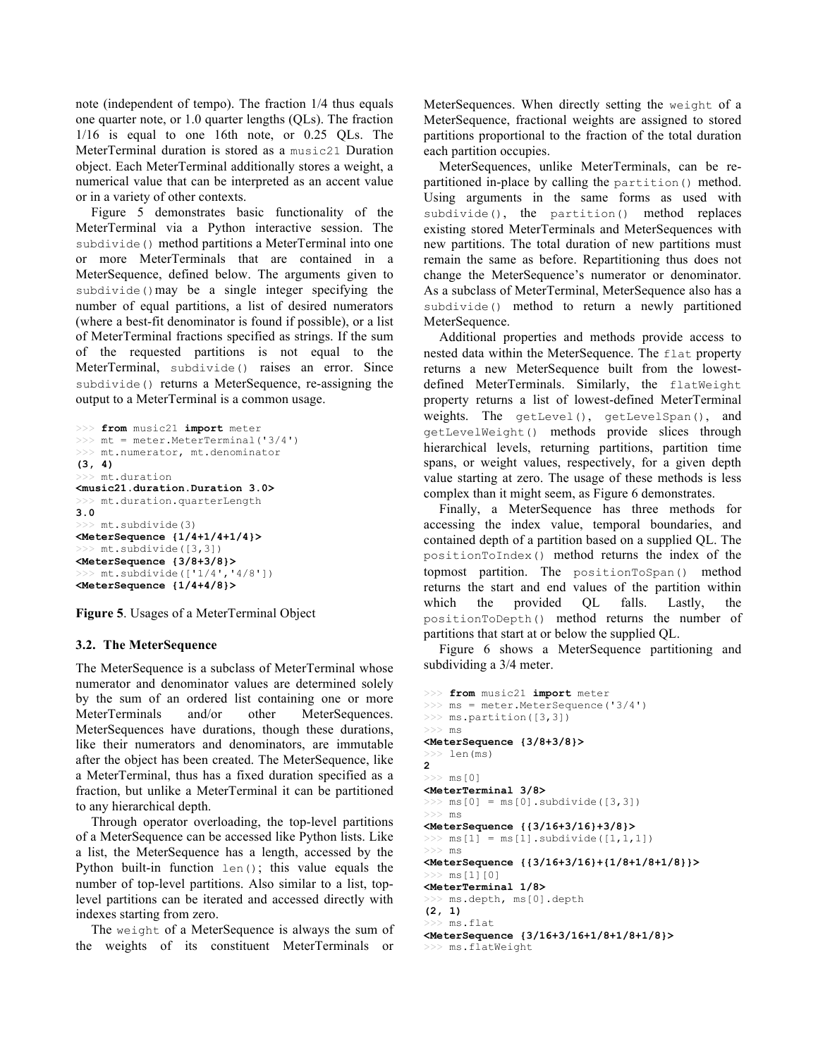note (independent of tempo). The fraction 1/4 thus equals one quarter note, or 1.0 quarter lengths (QLs). The fraction 1/16 is equal to one 16th note, or 0.25 QLs. The MeterTerminal duration is stored as a music21 Duration object. Each MeterTerminal additionally stores a weight, a numerical value that can be interpreted as an accent value or in a variety of other contexts.

Figure 5 demonstrates basic functionality of the MeterTerminal via a Python interactive session. The subdivide() method partitions a MeterTerminal into one or more MeterTerminals that are contained in a MeterSequence, defined below. The arguments given to subdivide()may be a single integer specifying the number of equal partitions, a list of desired numerators (where a best-fit denominator is found if possible), or a list of MeterTerminal fractions specified as strings. If the sum of the requested partitions is not equal to the MeterTerminal, subdivide() raises an error. Since subdivide() returns a MeterSequence, re-assigning the output to a MeterTerminal is a common usage.

```
>>> from music21 import meter
\gg \gg \pi = meter. Meter Terminal ('3/4')
>>> mt.numerator, mt.denominator
(3, 4)
>>> mt.duration
<music21.duration.Duration 3.0>
>>> mt.duration.quarterLength
3.0
>>> mt.subdivide(3)
<MeterSequence {1/4+1/4+1/4}>
  >>> mt.subdivide([3,3])
<MeterSequence {3/8+3/8}>
  > mt.subdivide(['1/4','4/8'])
<MeterSequence {1/4+4/8}>
```
**Figure 5**. Usages of a MeterTerminal Object

### **3.2. The MeterSequence**

The MeterSequence is a subclass of MeterTerminal whose numerator and denominator values are determined solely by the sum of an ordered list containing one or more MeterTerminals and/or other MeterSequences. MeterSequences have durations, though these durations, like their numerators and denominators, are immutable after the object has been created. The MeterSequence, like a MeterTerminal, thus has a fixed duration specified as a fraction, but unlike a MeterTerminal it can be partitioned to any hierarchical depth.

Through operator overloading, the top-level partitions of a MeterSequence can be accessed like Python lists. Like a list, the MeterSequence has a length, accessed by the Python built-in function len(); this value equals the number of top-level partitions. Also similar to a list, toplevel partitions can be iterated and accessed directly with indexes starting from zero.

The weight of a MeterSequence is always the sum of the weights of its constituent MeterTerminals or

MeterSequences. When directly setting the weight of a MeterSequence, fractional weights are assigned to stored partitions proportional to the fraction of the total duration each partition occupies.

MeterSequences, unlike MeterTerminals, can be repartitioned in-place by calling the partition() method. Using arguments in the same forms as used with subdivide(), the partition() method replaces existing stored MeterTerminals and MeterSequences with new partitions. The total duration of new partitions must remain the same as before. Repartitioning thus does not change the MeterSequence's numerator or denominator. As a subclass of MeterTerminal, MeterSequence also has a subdivide() method to return a newly partitioned MeterSequence.

Additional properties and methods provide access to nested data within the MeterSequence. The flat property returns a new MeterSequence built from the lowestdefined MeterTerminals. Similarly, the flatWeight property returns a list of lowest-defined MeterTerminal weights. The getLevel(), getLevelSpan(), and getLevelWeight() methods provide slices through hierarchical levels, returning partitions, partition time spans, or weight values, respectively, for a given depth value starting at zero. The usage of these methods is less complex than it might seem, as Figure 6 demonstrates.

Finally, a MeterSequence has three methods for accessing the index value, temporal boundaries, and contained depth of a partition based on a supplied QL. The positionToIndex() method returns the index of the topmost partition. The positionToSpan() method returns the start and end values of the partition within which the provided QL falls. Lastly, the positionToDepth() method returns the number of partitions that start at or below the supplied QL.

Figure 6 shows a MeterSequence partitioning and subdividing a 3/4 meter.

```
>>> from music21 import meter
>>> ms = meter.MeterSequence('3/4')
>>> ms.partition([3,3])
>> ms
<MeterSequence {3/8+3/8}>
>> len(ms)
2
>> ms[0]
<MeterTerminal 3/8>
\gg ms[0] = ms[0].subdivide([3,3])
>> ms
<MeterSequence {{3/16+3/16}+3/8}>
\gg ms[1] = ms[1].subdivide([1,1,1])
>> ms
<MeterSequence {{3/16+3/16}+{1/8+1/8+1/8}}>
>> ms[1][0]
<MeterTerminal 1/8>
 >> ms.depth, ms[0].depth
(2, 1)
>>> ms.flat
<MeterSequence {3/16+3/16+1/8+1/8+1/8}>
>>> ms.flatWeight
```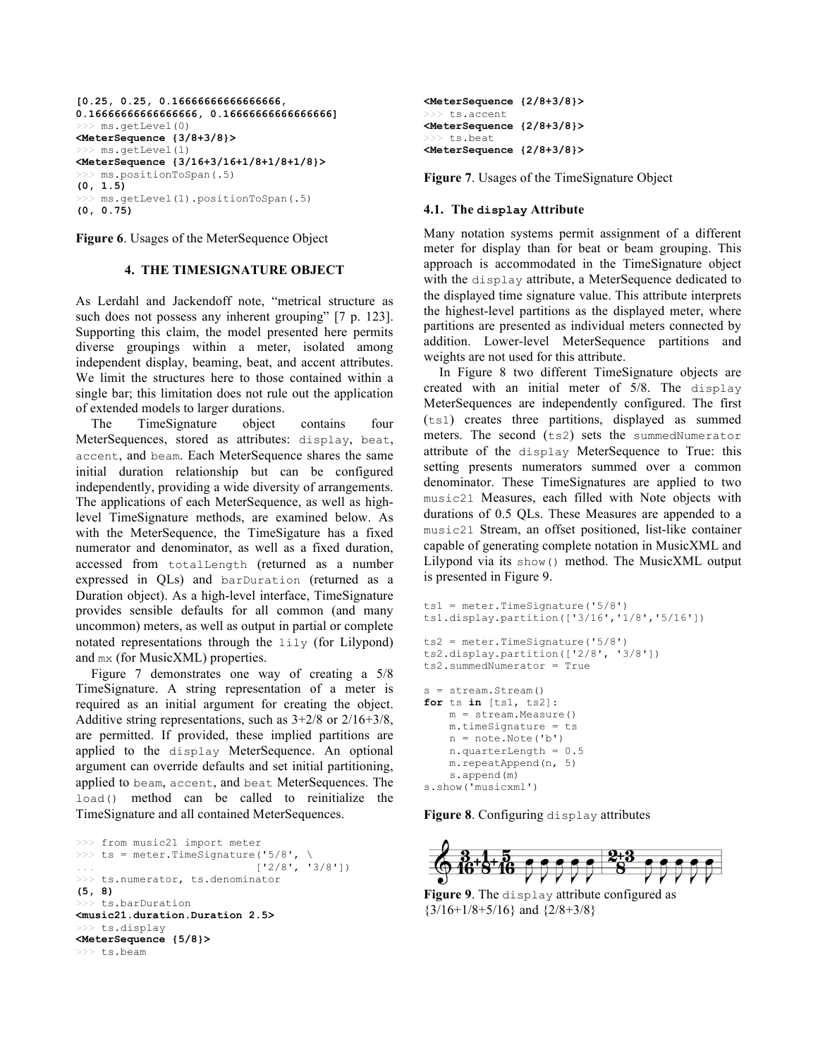```
[0.25, 0.25, 0.16666666666666666, 
0.16666666666666666, 0.16666666666666666]
  >>> ms.getLevel(0)
<MeterSequence {3/8+3/8}>
>>> ms.getLevel(1)
<MeterSequence {3/16+3/16+1/8+1/8+1/8}>
>>> ms.positionToSpan(.5)
(0, 1.5)
>>> ms.getLevel(1).positionToSpan(.5)
(0, 0.75)
```
**Figure 6**. Usages of the MeterSequence Object

## **4. THE TIMESIGNATURE OBJECT**

As Lerdahl and Jackendoff note, "metrical structure as such does not possess any inherent grouping" [7 p. 123]. Supporting this claim, the model presented here permits diverse groupings within a meter, isolated among independent display, beaming, beat, and accent attributes. We limit the structures here to those contained within a single bar; this limitation does not rule out the application of extended models to larger durations.

The TimeSignature object contains four MeterSequences, stored as attributes: display, beat, accent, and beam. Each MeterSequence shares the same initial duration relationship but can be configured independently, providing a wide diversity of arrangements. The applications of each MeterSequence, as well as highlevel TimeSignature methods, are examined below. As with the MeterSequence, the TimeSigature has a fixed numerator and denominator, as well as a fixed duration, accessed from totalLength (returned as a number expressed in QLs) and barDuration (returned as a Duration object). As a high-level interface, TimeSignature provides sensible defaults for all common (and many uncommon) meters, as well as output in partial or complete notated representations through the lily (for Lilypond) and mx (for MusicXML) properties.

Figure 7 demonstrates one way of creating a 5/8 TimeSignature. A string representation of a meter is required as an initial argument for creating the object. Additive string representations, such as 3+2/8 or 2/16+3/8, are permitted. If provided, these implied partitions are applied to the display MeterSequence. An optional argument can override defaults and set initial partitioning, applied to beam, accent, and beat MeterSequences. The load() method can be called to reinitialize the TimeSignature and all contained MeterSequences.

```
>>> from music21 import meter
>>> ts = meter.TimeSignature('5/8', \
                            [ '2/8', '3/8'] )>>> ts.numerator, ts.denominator
(5, 8)
>>> ts.barDuration
<music21.duration.Duration 2.5>
>>> ts.display
<MeterSequence {5/8}>
>>> ts.beam
```

```
<MeterSequence {2/8+3/8}>
>>> ts.accent
<MeterSequence {2/8+3/8}>
 >> ts.beat
<MeterSequence {2/8+3/8}>
```
**Figure 7**. Usages of the TimeSignature Object

#### **4.1. The display Attribute**

Many notation systems permit assignment of a different meter for display than for beat or beam grouping. This approach is accommodated in the TimeSignature object with the display attribute, a MeterSequence dedicated to the displayed time signature value. This attribute interprets the highest-level partitions as the displayed meter, where partitions are presented as individual meters connected by addition. Lower-level MeterSequence partitions and weights are not used for this attribute.

In Figure 8 two different TimeSignature objects are created with an initial meter of 5/8. The display MeterSequences are independently configured. The first (ts1) creates three partitions, displayed as summed meters. The second (ts2) sets the summedNumerator attribute of the display MeterSequence to True: this setting presents numerators summed over a common denominator. These TimeSignatures are applied to two music21 Measures, each filled with Note objects with durations of 0.5 QLs. These Measures are appended to a music21 Stream, an offset positioned, list-like container capable of generating complete notation in MusicXML and Lilypond via its show() method. The MusicXML output is presented in Figure 9.

```
ts1 = meter.TimeSignature('5/8') 
ts1.display.partition(['3/16','1/8','5/16']) 
ts2 = meter.TimeSignature('5/8') 
ts2.display.partition(['2/8', '3/8']) 
ts2.summedNumerator = True
s = stream.Stream()
for ts in [ts1, ts2]:
     m = stream.Measure()
     m.timeSignature = ts
     n = note.Note('b') 
     n.quarterLength = 0.5
     m.repeatAppend(n, 5)
     s.append(m)
s.show('musicxml')
```
**Figure 8**. Configuring display attributes



**Figure 9**. The display attribute configured as  ${3/16+1/8+5/16}$  and  ${2/8+3/8}$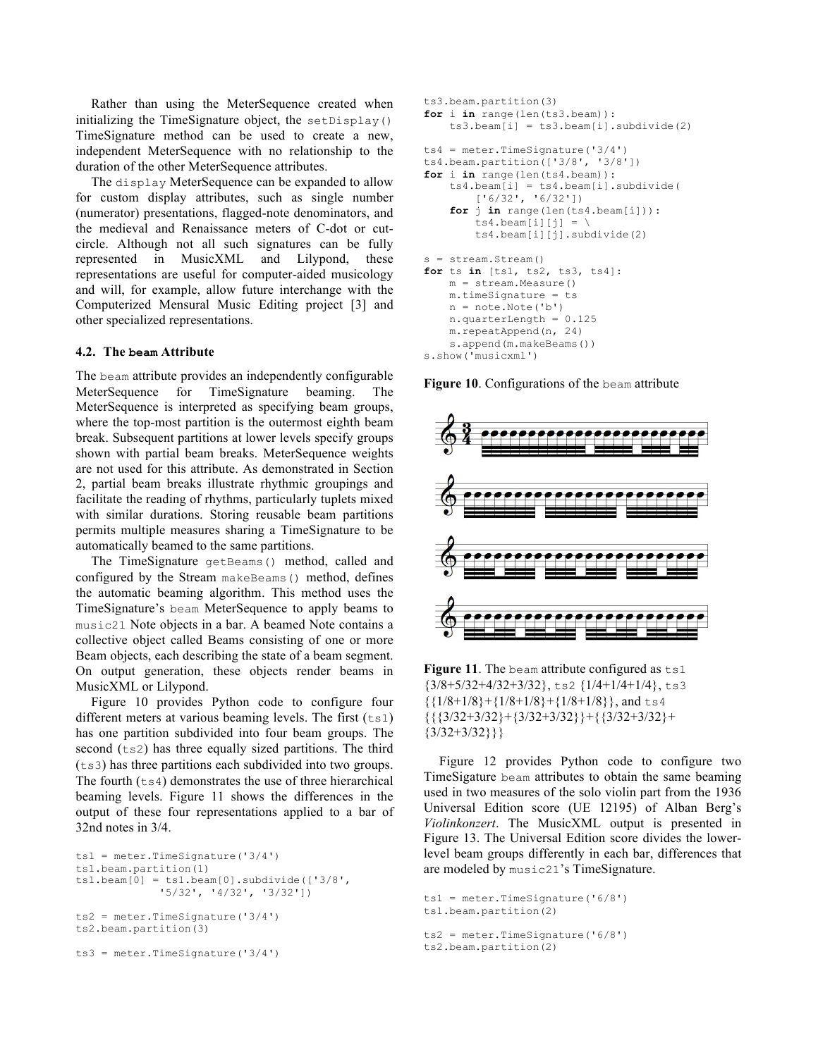Rather than using the MeterSequence created when initializing the TimeSignature object, the setDisplay() TimeSignature method can be used to create a new, independent MeterSequence with no relationship to the duration of the other MeterSequence attributes.

The display MeterSequence can be expanded to allow for custom display attributes, such as single number (numerator) presentations, flagged-note denominators, and the medieval and Renaissance meters of C-dot or cutcircle. Although not all such signatures can be fully represented in MusicXML and Lilypond, these representations are useful for computer-aided musicology and will, for example, allow future interchange with the Computerized Mensural Music Editing project [3] and other specialized representations.

#### **4.2. The beam Attribute**

The beam attribute provides an independently configurable MeterSequence for TimeSignature beaming. The MeterSequence is interpreted as specifying beam groups, where the top-most partition is the outermost eighth beam break. Subsequent partitions at lower levels specify groups shown with partial beam breaks. MeterSequence weights are not used for this attribute. As demonstrated in Section 2, partial beam breaks illustrate rhythmic groupings and facilitate the reading of rhythms, particularly tuplets mixed with similar durations. Storing reusable beam partitions permits multiple measures sharing a TimeSignature to be automatically beamed to the same partitions.

The TimeSignature getBeams() method, called and configured by the Stream makeBeams() method, defines the automatic beaming algorithm. This method uses the TimeSignature's beam MeterSequence to apply beams to music21 Note objects in a bar. A beamed Note contains a collective object called Beams consisting of one or more Beam objects, each describing the state of a beam segment. On output generation, these objects render beams in MusicXML or Lilypond.

Figure 10 provides Python code to configure four different meters at various beaming levels. The first  $(t \sinh t)$ has one partition subdivided into four beam groups. The second  $(ts2)$  has three equally sized partitions. The third (ts3) has three partitions each subdivided into two groups. The fourth  $(t \le 4)$  demonstrates the use of three hierarchical beaming levels. Figure 11 shows the differences in the output of these four representations applied to a bar of 32nd notes in 3/4.

```
ts1 = meter.TimeSignature('3/4') 
ts1.beam.partition(1)
ts1.beam[0] = ts1.beam[0].subdivide(['3/8',
              '5/32', '4/32', '3/32']) 
ts2 = meter.Timessquare( '3/4')ts2.beam.partition(3)
ts3 = meter.TimeSignature('3/4')
```

```
ts3.beam.partition(3)
for i in range(len(ts3.beam)):
     ts3.beam[i] = ts3.beam[i].subdivide(2)
ts4 = meter.Timessquare(13/4')ts4.beam.partition(['3/8', '3/8']) 
for i in range(len(ts4.beam)):
     ts4.beam[i] = ts4.beam[i].subdivide(
        ['6/32', '6/32']) 
     for j in range(len(ts4.beam[i])):
        ts4.beam[i][j] = \n\ ts4.beam[i][j].subdivide(2)
s = stream.Stream()
for ts in [ts1, ts2, ts3, ts4]:
    m = stream.Measure()
     m.timeSignature = ts
     n = note.Note('b')
     n.quarterLength = 0.125
     m.repeatAppend(n, 24)
     s.append(m.makeBeams())
```

```
s.show('musicxml')
```
**Figure 10**. Configurations of the beam attribute



Figure 11. The beam attribute configured as  $ts1$  ${3/8+5/32+4/32+3/32}$ , ts2  ${1/4+1/4+1/4}$ , ts3  ${1/8+1/8}+{1/8+1/8}+{1/8+1/8}$ , and ts4  ${({3/32+3/32}+{3/32+3/32}+{({3/32+3/32}+}$  ${3/32+3/32}$ }}

Figure 12 provides Python code to configure two TimeSigature beam attributes to obtain the same beaming used in two measures of the solo violin part from the 1936 Universal Edition score (UE 12195) of Alban Berg's *Violinkonzert*. The MusicXML output is presented in Figure 13. The Universal Edition score divides the lowerlevel beam groups differently in each bar, differences that are modeled by music21's TimeSignature.

```
ts1 = meter.TimeSignature('6/8') 
ts1.beam.partition(2)
ts2 = meter.TimeSignature('6/8') 
ts2.beam.partition(2)
```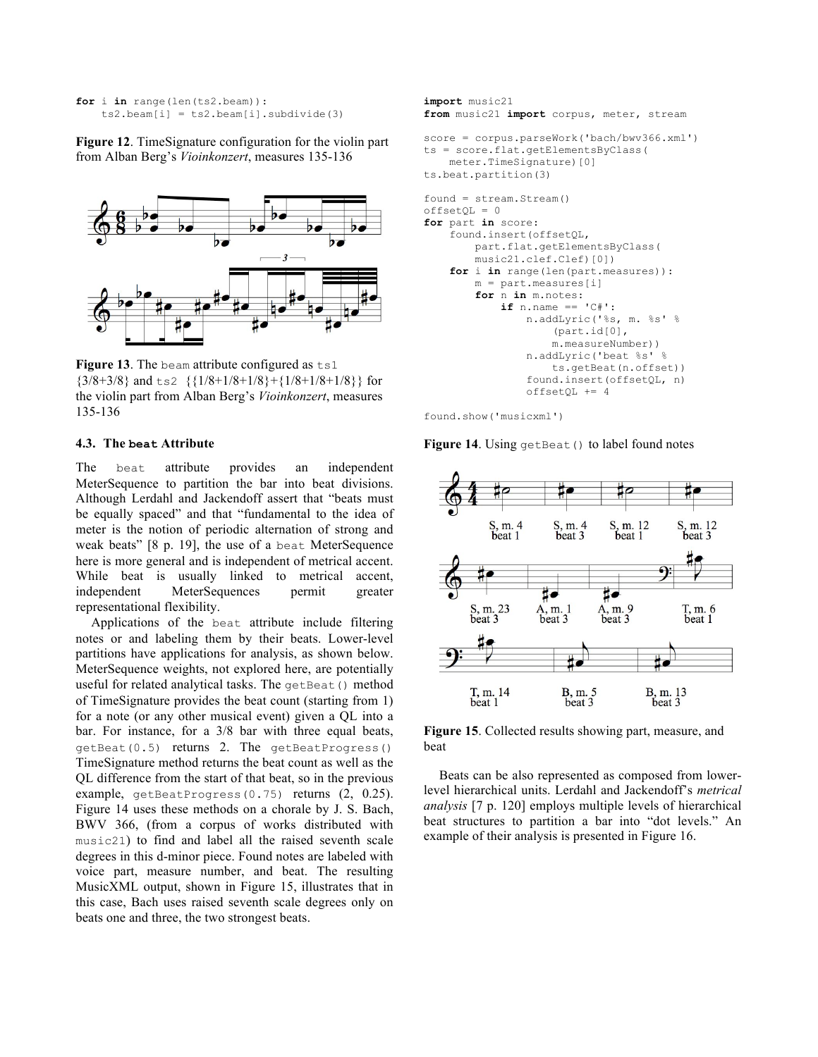```
for i in range(len(ts2.beam)):
   ts2.beam[i] = ts2.beam[i].subdivide(3)
```
**Figure 12**. TimeSignature configuration for the violin part from Alban Berg's *Vioinkonzert*, measures 135-136



Figure 13. The beam attribute configured as ts1  ${3/8+3/8}$  and ts2  ${1/8+1/8+1/8}+{1/8+1/8+1/8}$  for the violin part from Alban Berg's *Vioinkonzert*, measures 135-136

#### **4.3. The beat Attribute**

The beat attribute provides an independent MeterSequence to partition the bar into beat divisions. Although Lerdahl and Jackendoff assert that "beats must be equally spaced" and that "fundamental to the idea of meter is the notion of periodic alternation of strong and weak beats" [8 p. 19], the use of a beat MeterSequence here is more general and is independent of metrical accent. While beat is usually linked to metrical accent, independent MeterSequences permit greater representational flexibility.

Applications of the beat attribute include filtering notes or and labeling them by their beats. Lower-level partitions have applications for analysis, as shown below. MeterSequence weights, not explored here, are potentially useful for related analytical tasks. The getBeat () method of TimeSignature provides the beat count (starting from 1) for a note (or any other musical event) given a QL into a bar. For instance, for a 3/8 bar with three equal beats, getBeat(0.5) returns 2. The getBeatProgress() TimeSignature method returns the beat count as well as the QL difference from the start of that beat, so in the previous example, getBeatProgress(0.75) returns (2, 0.25). Figure 14 uses these methods on a chorale by J. S. Bach, BWV 366, (from a corpus of works distributed with music21) to find and label all the raised seventh scale degrees in this d-minor piece. Found notes are labeled with voice part, measure number, and beat. The resulting MusicXML output, shown in Figure 15, illustrates that in this case, Bach uses raised seventh scale degrees only on beats one and three, the two strongest beats.

```
import music21
from music21 import corpus, meter, stream
score = corpus.parseWork('bach/bwv366.xml') 
ts = score.flat.getElementsByClass(
     meter.TimeSignature)[0]
ts.beat.partition(3)
found = stream.Stream()
offsetQL = 0for part in score:
     found.insert(offsetQL, 
         part.flat.getElementsByClass(
         music21.clef.Clef)[0])
     for i in range(len(part.measures)):
         m = part.measures[i]
         for n in m.notes:
             if n.name == 'C#': 
                  n.addLyric('%s, m. %s' %
                      (part.id[0], 
                      m.measureNumber))
                  n.addLyric('beat %s' % 
                      ts.getBeat(n.offset))
                  found.insert(offsetQL, n)
                  offsetQL += 4
```
found.show('musicxml')

**Figure 14.** Using getBeat () to label found notes



**Figure 15**. Collected results showing part, measure, and beat

Beats can be also represented as composed from lowerlevel hierarchical units. Lerdahl and Jackendoff's *metrical analysis* [7 p. 120] employs multiple levels of hierarchical beat structures to partition a bar into "dot levels." An example of their analysis is presented in Figure 16.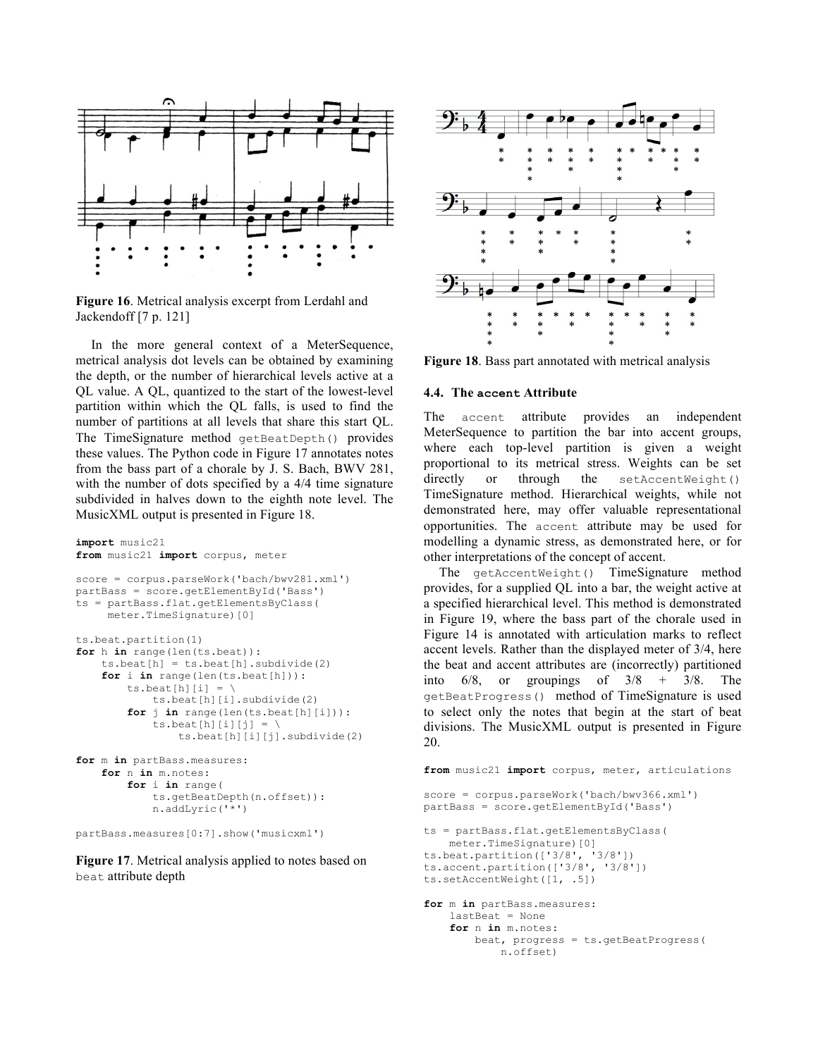

**Figure 16**. Metrical analysis excerpt from Lerdahl and Jackendoff [7 p. 121]

In the more general context of a MeterSequence, metrical analysis dot levels can be obtained by examining the depth, or the number of hierarchical levels active at a QL value. A QL, quantized to the start of the lowest-level partition within which the QL falls, is used to find the number of partitions at all levels that share this start QL. The TimeSignature method getBeatDepth() provides these values. The Python code in Figure 17 annotates notes from the bass part of a chorale by J. S. Bach, BWV 281, with the number of dots specified by a 4/4 time signature subdivided in halves down to the eighth note level. The MusicXML output is presented in Figure 18.

```
import music21
from music21 import corpus, meter
score = corpus.parseWork('bach/bwv281.xml') 
partBass = score.getElementById('Bass') 
ts = partBass.flat.getElementsByClass(
     meter.TimeSignature)[0]
ts.beat.partition(1)
for h in range(len(ts.beat)):
     ts.beat[h] = ts.beat[h].subdivide(2)
     for i in range(len(ts.beat[h])):
        ts.beat[h][i] = \setminus ts.beat[h][i].subdivide(2)
         for j in range(len(ts.beat[h][i])):
            ts.beat[h][i][j] = \
                 ts.beat[h][i][j].subdivide(2)
for m in partBass.measures:
     for n in m.notes:
         for i in range(
             ts.getBeatDepth(n.offset)):
             n.addLyric('*')
```
partBass.measures[0:7].show('musicxml')

**Figure 17**. Metrical analysis applied to notes based on beat attribute depth



**Figure 18**. Bass part annotated with metrical analysis

#### **4.4. The accent Attribute**

The accent attribute provides an independent MeterSequence to partition the bar into accent groups, where each top-level partition is given a weight proportional to its metrical stress. Weights can be set directly or through the setAccentWeight() TimeSignature method. Hierarchical weights, while not demonstrated here, may offer valuable representational opportunities. The accent attribute may be used for modelling a dynamic stress, as demonstrated here, or for other interpretations of the concept of accent.

The getAccentWeight() TimeSignature method provides, for a supplied QL into a bar, the weight active at a specified hierarchical level. This method is demonstrated in Figure 19, where the bass part of the chorale used in Figure 14 is annotated with articulation marks to reflect accent levels. Rather than the displayed meter of 3/4, here the beat and accent attributes are (incorrectly) partitioned into  $6/8$ , or groupings of  $3/8 + 3/8$ . The getBeatProgress() method of TimeSignature is used to select only the notes that begin at the start of beat divisions. The MusicXML output is presented in Figure 20.

```
from music21 import corpus, meter, articulations
score = corpus.parseWork('bach/bwv366.xml') 
partBass = score.getElementById('Bass')
ts = partBass.flat.getElementsByClass(
     meter.TimeSignature)[0]
ts.beat.partition(['3/8', '3/8']) 
ts.accent.partition(['3/8', '3/8']) 
ts.setAccentWeight([1, .5])
for m in partBass.measures:
     lastBeat = None
     for n in m.notes:
         beat, progress = ts.getBeatProgress(
             n.offset)
```